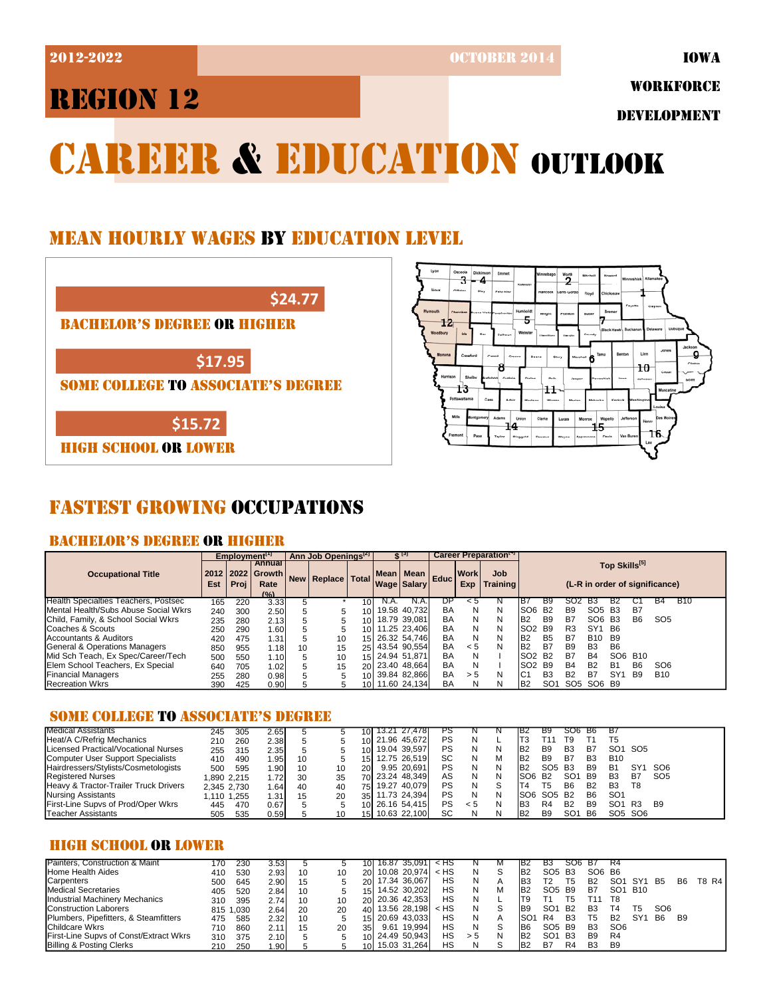2012-2022 OCTOBER 2014

IOWA

## REGION 12

WORKFORCE

DEVELOPMENT

# CAREER & EDUCATION OUTLOOK

## MEAN HOURLY WAGES BY EDUCATION LEVEL



SOME COLLEGE TO ASSOCIATE'S DEGREE

**\$15.72**

HIGH SCHOOL OR LOWER



## FASTEST GROWING OCCUPATIONS

## BACHELOR'S DEGREE OR HIGHER

|                                      | Employment <sup>[1]</sup> |      |                                             |    | Ann Job Openings <sup>[2]</sup> |                 |      | $$^{[3]}$$                                        |    |                      | Career Preparation     |                 |                                |                |                 | Top Skills <sup>[5]</sup> |                |                 |            |  |  |  |  |  |
|--------------------------------------|---------------------------|------|---------------------------------------------|----|---------------------------------|-----------------|------|---------------------------------------------------|----|----------------------|------------------------|-----------------|--------------------------------|----------------|-----------------|---------------------------|----------------|-----------------|------------|--|--|--|--|--|
| <b>Occupational Title</b>            | Est                       | Proi | Annual<br>2012 2022 Growth<br>Rate<br>(9/6) |    | New   Replace   Total           |                 |      | .   Mean   Mean   Educ   VV<br><b>Wage Salary</b> |    | <b>I</b> Work<br>Exp | Job<br><b>Training</b> |                 | (L-R in order of significance) |                |                 |                           |                |                 |            |  |  |  |  |  |
| Health Specialties Teachers, Postsec | 165                       | 220  | 3.33                                        | 5  |                                 | 10 <sup>1</sup> | N.A. | N.A.                                              | DP |                      | N                      | B.              | <b>B</b> 9                     |                | В3              | B2                        |                | B4              | <b>B10</b> |  |  |  |  |  |
| Mental Health/Subs Abuse Social Wkrs | 240                       | 300  | 2.50                                        | 5  | 5                               | 10 <sup>1</sup> |      | 19.58 40.732                                      | BA | N                    | N                      | SO <sub>6</sub> | <b>B2</b>                      | <b>B</b> 9     | SO <sub>5</sub> | <b>B3</b>                 | B7             |                 |            |  |  |  |  |  |
| Child, Family, & School Social Wkrs  | 235                       | 280  | 2.13                                        |    |                                 | 10 <sup>1</sup> |      | 18.79 39,081                                      | BA | N                    | N                      | B <sub>2</sub>  | <b>B9</b>                      | B <sub>7</sub> | SO6             | <b>B</b> 3                | B <sub>6</sub> | SO <sub>5</sub> |            |  |  |  |  |  |
| Coaches & Scouts                     | 250                       | 290  | 1,60                                        | 5  | 5                               | 101             |      | 11.25 23.406                                      | BA | N                    | N                      | SO <sub>2</sub> | <b>B</b> 9                     | R <sub>3</sub> | SY <sub>1</sub> | <b>B6</b>                 |                |                 |            |  |  |  |  |  |
| Accountants & Auditors               | 420                       | 475  | 1.31.                                       | 5  | 10                              | 15 <sup>1</sup> |      | 26.32 54.746                                      | BA | N                    | N                      | B <sub>2</sub>  | <b>B5</b>                      | B <sub>7</sub> | B <sub>10</sub> | <b>B</b> 9                |                |                 |            |  |  |  |  |  |
| General & Operations Managers        | 850                       | 955  | 1.18                                        | 10 | 15                              |                 |      | 25 43.54 90,554                                   | BA | < 5                  | N                      | B <sub>2</sub>  | <b>B7</b>                      | <b>B</b> 9     | <b>B3</b>       | B <sub>6</sub>            |                |                 |            |  |  |  |  |  |
| Mid Sch Teach, Ex Spec/Career/Tech   | 500                       | 550  | 1.10                                        |    | 10                              |                 |      | 15 24.94 51,871                                   | BA | N                    |                        | SO <sub>2</sub> | <b>B2</b>                      | <b>B7</b>      | <b>B4</b>       | SO <sub>6</sub>           | <b>B10</b>     |                 |            |  |  |  |  |  |
| Elem School Teachers, Ex Special     | 640                       | 705  | 1.02                                        | 5  | 15                              |                 |      | 20 23.40 48,664                                   | BA | N                    |                        | SO <sub>2</sub> | B9                             | <b>B4</b>      | <b>B2</b>       | <b>B1</b>                 | B <sub>6</sub> | SO <sub>6</sub> |            |  |  |  |  |  |
| <b>Financial Managers</b>            | 255                       | 280  | 0.98                                        | 5  | 5                               | 10 <sup>1</sup> |      | 39.84 82,866                                      | BA | > 5                  | N                      | IC <sub>1</sub> | B <sub>3</sub>                 | <b>B2</b>      | B7              | SY <sup>4</sup>           | <b>B</b> 9     | <b>B10</b>      |            |  |  |  |  |  |
| <b>Recreation Wkrs</b>               | 390                       | 425  | 0.90 <sub>1</sub>                           |    |                                 | 10 <sup>1</sup> |      | 11.60 24.134                                      | BA | N                    | N                      | <b>B2</b>       | SO <sub>1</sub>                | SO5 SO6 B9     |                 |                           |                |                 |            |  |  |  |  |  |

## SOME COLLEGE TO ASSOCIATE'S DEGREE

| <b>Medical Assistants</b>             | 245<br>305             | 2.65  |    |    |     | 10 13.21 27,478 | PS |     |   | IB2             | <b>B</b> 9      | SO <sub>6</sub> | - B6           | - 187                           |                                 |                 |
|---------------------------------------|------------------------|-------|----|----|-----|-----------------|----|-----|---|-----------------|-----------------|-----------------|----------------|---------------------------------|---------------------------------|-----------------|
| Heat/A C/Refrig Mechanics             | <b>260</b><br>210      | 2.38  |    |    |     | 10 21.96 45,672 | PS |     |   |                 | T11             | T9.             |                | T <sub>5</sub>                  |                                 |                 |
| Licensed Practical/Vocational Nurses  | 315<br>255             | 2.35  |    |    |     | 10 19.04 39,597 | PS |     | N | IB <sub>2</sub> | B <sub>9</sub>  | B3              | B7             |                                 | SO <sub>1</sub> S <sub>O5</sub> |                 |
| Computer User Support Specialists     | 49 <sub>C</sub><br>410 | l.95l | 10 |    |     | 15 12.75 26,519 | SC |     | М | IB <sub>2</sub> | B <sub>9</sub>  | B7              | B <sub>3</sub> | <b>B10</b>                      |                                 |                 |
| Hairdressers/Stylists/Cosmetologists  | 595<br>500             | .90   | 10 | 10 | 20I | 9.95 20.691     | PS |     | N | B <sub>2</sub>  | SO <sub>5</sub> | <b>B3</b>       | <b>B9</b>      | <b>B1</b>                       | SY <sup>4</sup>                 | SO <sub>6</sub> |
| <b>Registered Nurses</b>              | 1.890 2.215            | . 721 | 30 | 35 |     | 70 23.24 48,349 | AS |     | N | SO6             | <b>B2</b>       | SO <sub>1</sub> | <b>B</b> 9     | B3                              | B7                              | SO <sub>5</sub> |
| Heavy & Tractor-Trailer Truck Drivers | 2.345 2.730            | .64   | 40 | 40 |     | 75 19.27 40,079 | PS | N   | S | T4              | T5              | B <sub>6</sub>  | <b>B2</b>      | B <sub>3</sub>                  | Т8                              |                 |
| Nursing Assistants                    | 1.110 1.255            | 31′،  | 15 | 20 |     | 35 11.73 24,394 | PS | N   | N | SO <sub>6</sub> | SO5 B2          |                 | B <sub>6</sub> | SO <sub>1</sub>                 |                                 |                 |
| First-Line Supvs of Prod/Oper Wkrs    | 470<br>445             | 0.67  |    |    |     | 10 26.16 54,415 | PS | < 5 | N | B <sub>3</sub>  | R <sub>4</sub>  | <b>B2</b>       | B <sub>9</sub> | SO <sub>1</sub> R <sub>3</sub>  |                                 | <b>B</b> 9      |
| Teacher Assistants                    | 535<br>505             | 0.59  |    | 10 |     | 15 10.63 22,100 | SC |     | Ν | IB <sub>2</sub> | B <sub>9</sub>  | SO <sub>1</sub> | <b>B6</b>      | SO <sub>5</sub> SO <sub>6</sub> |                                 |                 |

## HIGH SCHOOL OR LOWER

| <b>IPainters. Construction &amp; Maint</b> | '70 | 230       | 3.53  |    |    | 101             | 16.87 35,091    | < HS   |   | IB2             | B3              | SO6            | - B7           | R4              |            |                 |                |       |
|--------------------------------------------|-----|-----------|-------|----|----|-----------------|-----------------|--------|---|-----------------|-----------------|----------------|----------------|-----------------|------------|-----------------|----------------|-------|
| <b>Home Health Aides</b>                   | 410 | 530       | 2.93  | 10 | 10 | 20I             | 10.08 20,974    | $<$ HS |   | IB2             | SO <sub>5</sub> | <b>B3</b>      | SO6 B6         |                 |            |                 |                |       |
| Carpenters                                 | 500 | 645       | 2.90  | 15 |    | 20I             | 17.34 36.067    | НS     |   | IB3             | Т2              | T5             | B <sub>2</sub> | SO <sub>1</sub> | SY1        | <b>B5</b>       | B6             | T8 R4 |
| <b>Medical Secretaries</b>                 | 405 | 520       | 2.84  | 10 |    | 15 <sup>1</sup> | 14.52 30,202    | НS     | M | IB2             | SO <sub>5</sub> | B9             | B7             | SO <sub>1</sub> | <b>B10</b> |                 |                |       |
| <b>Industrial Machinery Mechanics</b>      | 310 | 395       | 2.74  | 10 | 10 |                 | 20 20.36 42,353 | НS     |   | T <sub>9</sub>  |                 |                | Г11            | T8              |            |                 |                |       |
| <b>Construction Laborers</b>               |     | 815 1.030 | 2.64  | 20 | 20 |                 | 40 13.56 28,198 | < HS   |   | IB9             | SO <sup>.</sup> | <b>B2</b>      | B3             |                 | T5         | SO <sub>6</sub> |                |       |
| Plumbers. Pipefitters, & Steamfitters      | 475 | 585       | 2.32  | 10 |    |                 | 15 20.69 43,033 | НS     |   | ISO1            | R4              | B <sub>3</sub> | -5             | B2              | SY'        | B <sub>6</sub>  | B <sub>9</sub> |       |
| <b>Childcare Wkrs</b>                      | 710 | 860       | 2.11  | 15 | 20 | 35I             | 19.994<br>9.61  | НS     |   | IB <sub>6</sub> | SO <sub>5</sub> | <b>B</b> 9     | B <sub>3</sub> | SO <sub>6</sub> |            |                 |                |       |
| First-Line Supvs of Const/Extract Wkrs     | 310 | 375       | 2.10  |    |    |                 | 10 24.49 50,943 | НS     |   | lB2             | SO <sub>1</sub> | B <sub>3</sub> | B <sub>9</sub> | R <sub>4</sub>  |            |                 |                |       |
| Billing & Posting Clerks                   | 210 | 250       | ا90.⊧ |    |    | 10I             | 15.03 31,264    | НS     |   | IB2             | B7              | R4             | B <sub>3</sub> | B <sub>9</sub>  |            |                 |                |       |